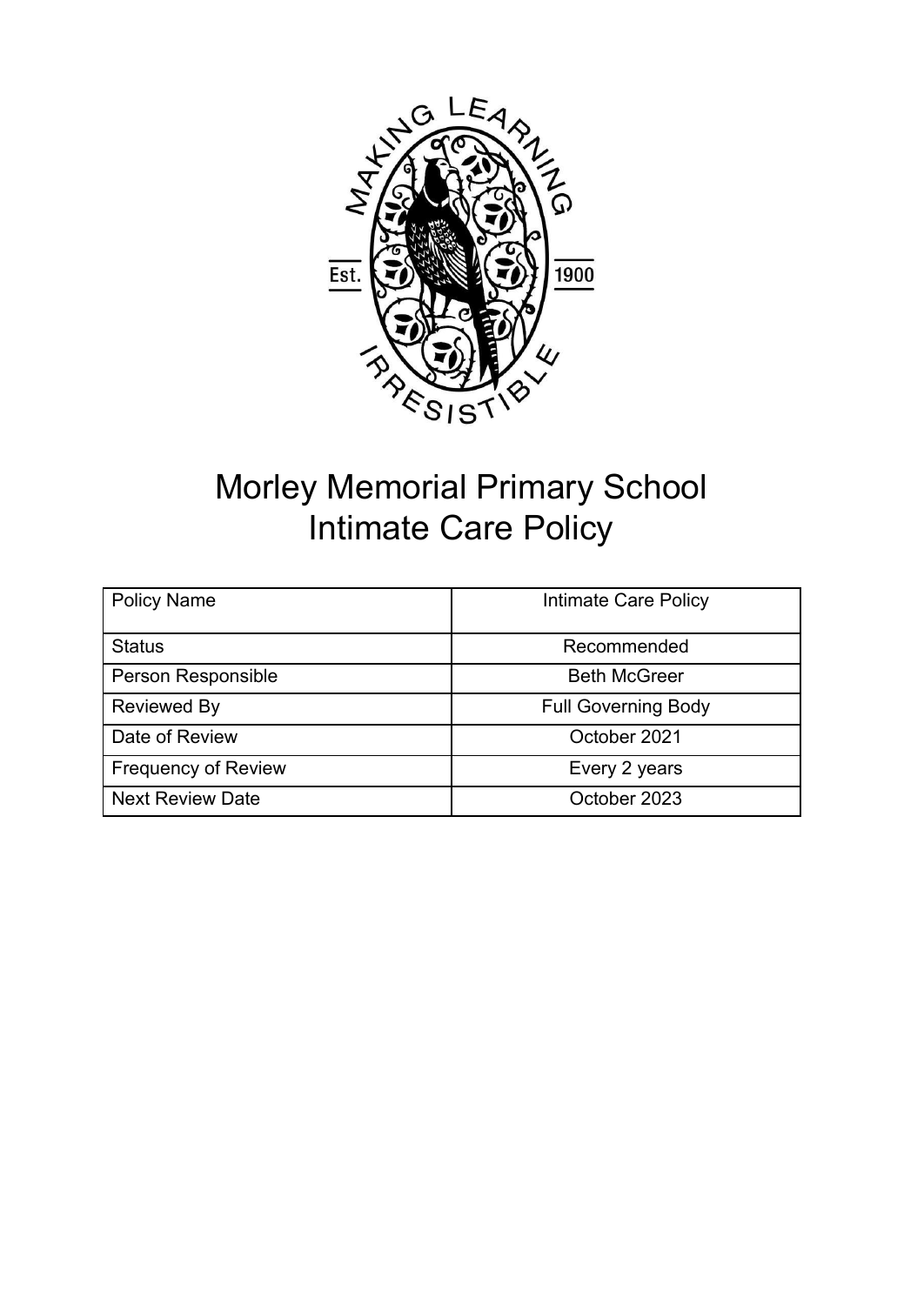

# Morley Memorial Primary School Intimate Care Policy

| <b>Policy Name</b>         | Intimate Care Policy       |  |
|----------------------------|----------------------------|--|
| <b>Status</b>              | Recommended                |  |
| Person Responsible         | <b>Beth McGreer</b>        |  |
| <b>Reviewed By</b>         | <b>Full Governing Body</b> |  |
| Date of Review             | October 2021               |  |
| <b>Frequency of Review</b> | Every 2 years              |  |
| <b>Next Review Date</b>    | October 2023               |  |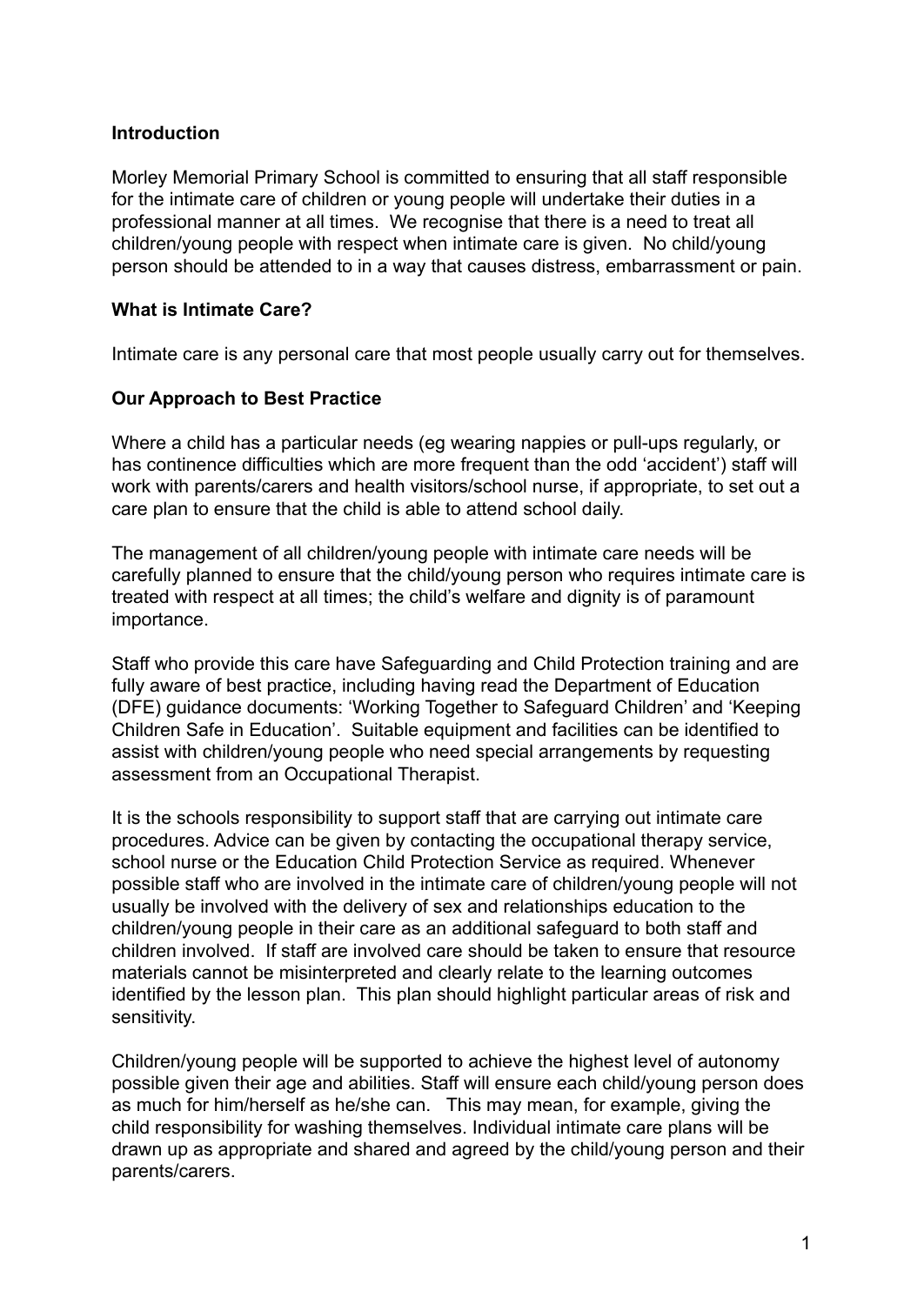#### **Introduction**

Morley Memorial Primary School is committed to ensuring that all staff responsible for the intimate care of children or young people will undertake their duties in a professional manner at all times. We recognise that there is a need to treat all children/young people with respect when intimate care is given. No child/young person should be attended to in a way that causes distress, embarrassment or pain.

#### **What is Intimate Care?**

Intimate care is any personal care that most people usually carry out for themselves.

#### **Our Approach to Best Practice**

Where a child has a particular needs (eg wearing nappies or pull-ups regularly, or has continence difficulties which are more frequent than the odd 'accident') staff will work with parents/carers and health visitors/school nurse, if appropriate, to set out a care plan to ensure that the child is able to attend school daily.

The management of all children/young people with intimate care needs will be carefully planned to ensure that the child/young person who requires intimate care is treated with respect at all times; the child's welfare and dignity is of paramount importance.

Staff who provide this care have Safeguarding and Child Protection training and are fully aware of best practice, including having read the Department of Education (DFE) guidance documents: 'Working Together to Safeguard Children' and 'Keeping Children Safe in Education'. Suitable equipment and facilities can be identified to assist with children/young people who need special arrangements by requesting assessment from an Occupational Therapist.

It is the schools responsibility to support staff that are carrying out intimate care procedures. Advice can be given by contacting the occupational therapy service, school nurse or the Education Child Protection Service as required. Whenever possible staff who are involved in the intimate care of children/young people will not usually be involved with the delivery of sex and relationships education to the children/young people in their care as an additional safeguard to both staff and children involved. If staff are involved care should be taken to ensure that resource materials cannot be misinterpreted and clearly relate to the learning outcomes identified by the lesson plan. This plan should highlight particular areas of risk and sensitivity.

Children/young people will be supported to achieve the highest level of autonomy possible given their age and abilities. Staff will ensure each child/young person does as much for him/herself as he/she can. This may mean, for example, giving the child responsibility for washing themselves. Individual intimate care plans will be drawn up as appropriate and shared and agreed by the child/young person and their parents/carers.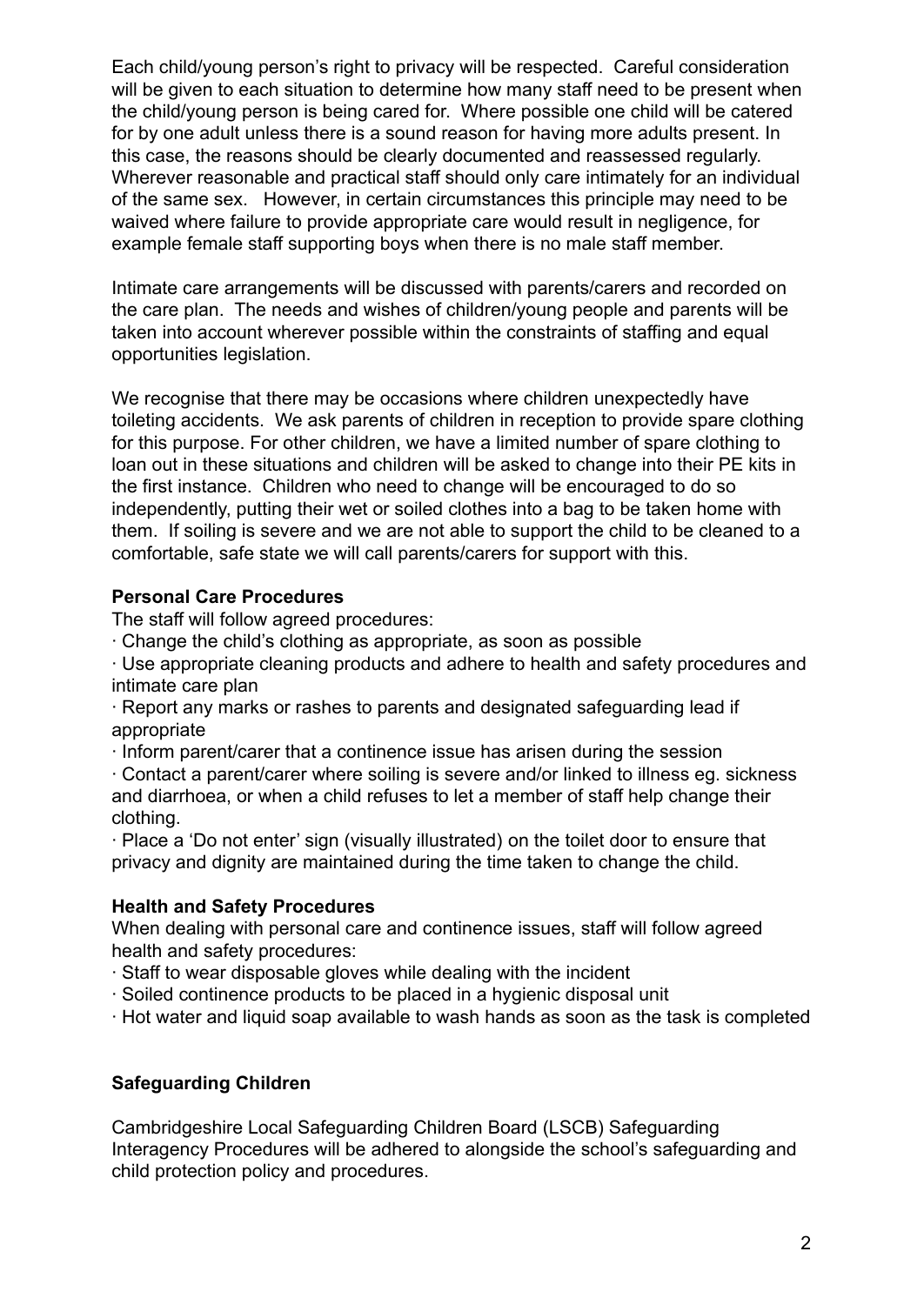Each child/young person's right to privacy will be respected. Careful consideration will be given to each situation to determine how many staff need to be present when the child/young person is being cared for. Where possible one child will be catered for by one adult unless there is a sound reason for having more adults present. In this case, the reasons should be clearly documented and reassessed regularly. Wherever reasonable and practical staff should only care intimately for an individual of the same sex. However, in certain circumstances this principle may need to be waived where failure to provide appropriate care would result in negligence, for example female staff supporting boys when there is no male staff member.

Intimate care arrangements will be discussed with parents/carers and recorded on the care plan. The needs and wishes of children/young people and parents will be taken into account wherever possible within the constraints of staffing and equal opportunities legislation.

We recognise that there may be occasions where children unexpectedly have toileting accidents. We ask parents of children in reception to provide spare clothing for this purpose. For other children, we have a limited number of spare clothing to loan out in these situations and children will be asked to change into their PE kits in the first instance. Children who need to change will be encouraged to do so independently, putting their wet or soiled clothes into a bag to be taken home with them. If soiling is severe and we are not able to support the child to be cleaned to a comfortable, safe state we will call parents/carers for support with this.

#### **Personal Care Procedures**

The staff will follow agreed procedures:

∙ Change the child's clothing as appropriate, as soon as possible

∙ Use appropriate cleaning products and adhere to health and safety procedures and intimate care plan

∙ Report any marks or rashes to parents and designated safeguarding lead if appropriate

∙ Inform parent/carer that a continence issue has arisen during the session

∙ Contact a parent/carer where soiling is severe and/or linked to illness eg. sickness and diarrhoea, or when a child refuses to let a member of staff help change their clothing.

∙ Place a 'Do not enter' sign (visually illustrated) on the toilet door to ensure that privacy and dignity are maintained during the time taken to change the child.

#### **Health and Safety Procedures**

When dealing with personal care and continence issues, staff will follow agreed health and safety procedures:

- ∙ Staff to wear disposable gloves while dealing with the incident
- ∙ Soiled continence products to be placed in a hygienic disposal unit
- ∙ Hot water and liquid soap available to wash hands as soon as the task is completed

#### **Safeguarding Children**

Cambridgeshire Local Safeguarding Children Board (LSCB) Safeguarding Interagency Procedures will be adhered to alongside the school's safeguarding and child protection policy and procedures.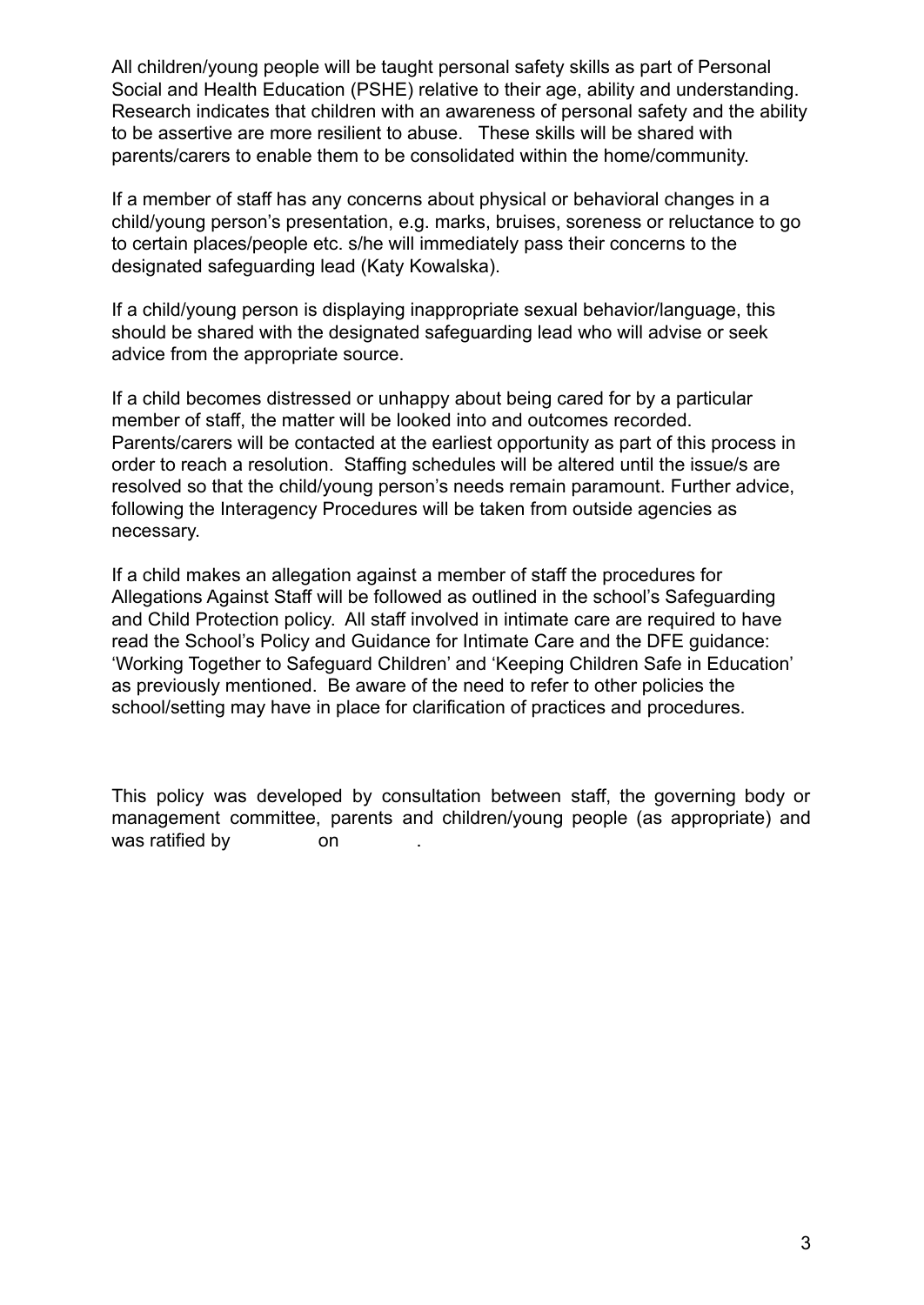All children/young people will be taught personal safety skills as part of Personal Social and Health Education (PSHE) relative to their age, ability and understanding. Research indicates that children with an awareness of personal safety and the ability to be assertive are more resilient to abuse. These skills will be shared with parents/carers to enable them to be consolidated within the home/community.

If a member of staff has any concerns about physical or behavioral changes in a child/young person's presentation, e.g. marks, bruises, soreness or reluctance to go to certain places/people etc. s/he will immediately pass their concerns to the designated safeguarding lead (Katy Kowalska).

If a child/young person is displaying inappropriate sexual behavior/language, this should be shared with the designated safeguarding lead who will advise or seek advice from the appropriate source.

If a child becomes distressed or unhappy about being cared for by a particular member of staff, the matter will be looked into and outcomes recorded. Parents/carers will be contacted at the earliest opportunity as part of this process in order to reach a resolution. Staffing schedules will be altered until the issue/s are resolved so that the child/young person's needs remain paramount. Further advice, following the Interagency Procedures will be taken from outside agencies as necessary.

If a child makes an allegation against a member of staff the procedures for Allegations Against Staff will be followed as outlined in the school's Safeguarding and Child Protection policy. All staff involved in intimate care are required to have read the School's Policy and Guidance for Intimate Care and the DFE guidance: 'Working Together to Safeguard Children' and 'Keeping Children Safe in Education' as previously mentioned. Be aware of the need to refer to other policies the school/setting may have in place for clarification of practices and procedures.

This policy was developed by consultation between staff, the governing body or management committee, parents and children/young people (as appropriate) and was ratified by on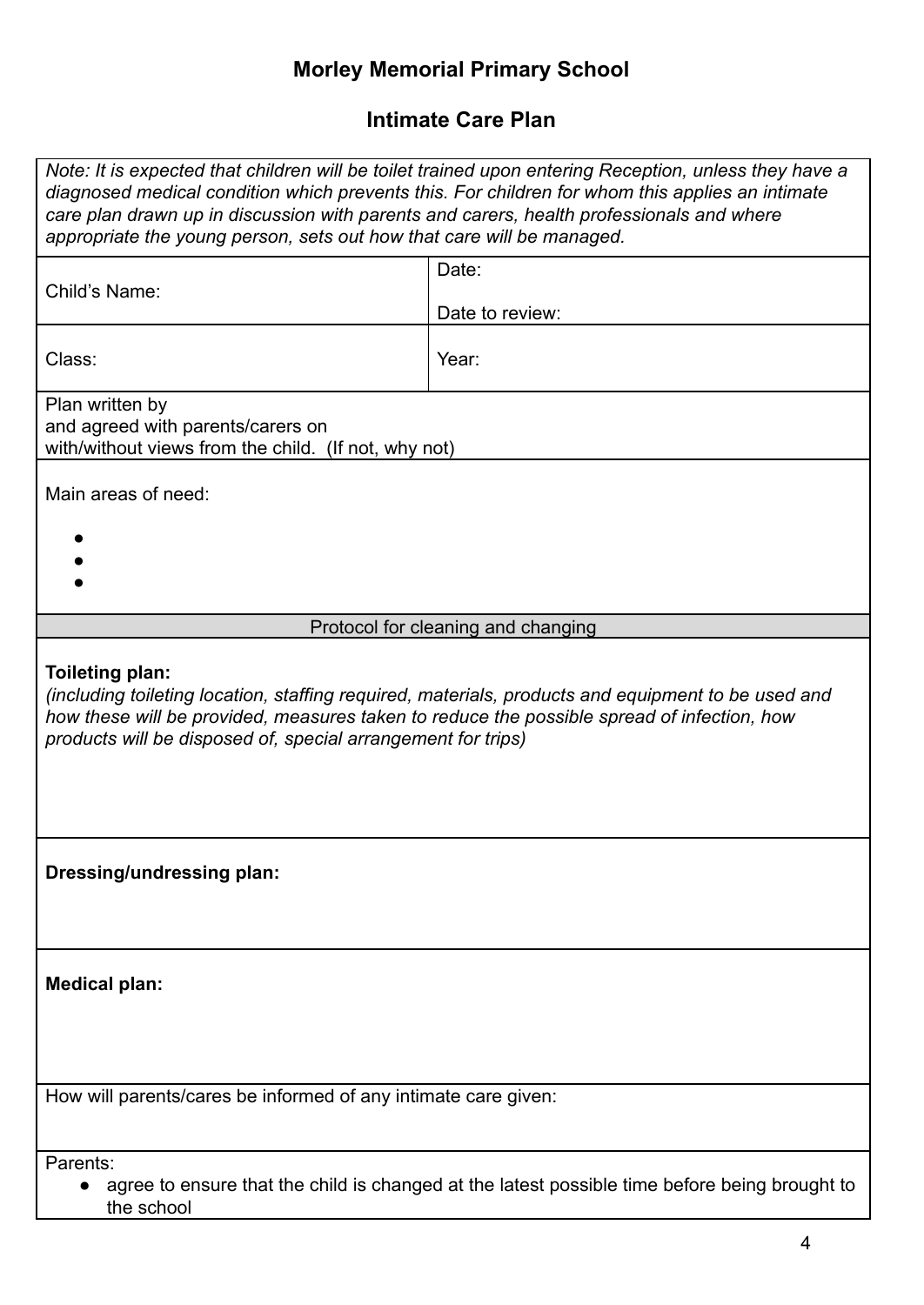## **Morley Memorial Primary School**

### **Intimate Care Plan**

| Note: It is expected that children will be toilet trained upon entering Reception, unless they have a<br>diagnosed medical condition which prevents this. For children for whom this applies an intimate<br>care plan drawn up in discussion with parents and carers, health professionals and where<br>appropriate the young person, sets out how that care will be managed. |                          |  |
|-------------------------------------------------------------------------------------------------------------------------------------------------------------------------------------------------------------------------------------------------------------------------------------------------------------------------------------------------------------------------------|--------------------------|--|
| Child's Name:                                                                                                                                                                                                                                                                                                                                                                 | Date:<br>Date to review: |  |
| Class:                                                                                                                                                                                                                                                                                                                                                                        | Year:                    |  |
| Plan written by<br>and agreed with parents/carers on<br>with/without views from the child. (If not, why not)                                                                                                                                                                                                                                                                  |                          |  |
| Main areas of need:                                                                                                                                                                                                                                                                                                                                                           |                          |  |
|                                                                                                                                                                                                                                                                                                                                                                               |                          |  |
| Protocol for cleaning and changing                                                                                                                                                                                                                                                                                                                                            |                          |  |
| Toileting plan:<br>(including toileting location, staffing required, materials, products and equipment to be used and<br>how these will be provided, measures taken to reduce the possible spread of infection, how<br>products will be disposed of, special arrangement for trips)                                                                                           |                          |  |
| Dressing/undressing plan:                                                                                                                                                                                                                                                                                                                                                     |                          |  |
| <b>Medical plan:</b>                                                                                                                                                                                                                                                                                                                                                          |                          |  |
| How will parents/cares be informed of any intimate care given:                                                                                                                                                                                                                                                                                                                |                          |  |
| Parents:<br>agree to ensure that the child is changed at the latest possible time before being brought to<br>the school                                                                                                                                                                                                                                                       |                          |  |